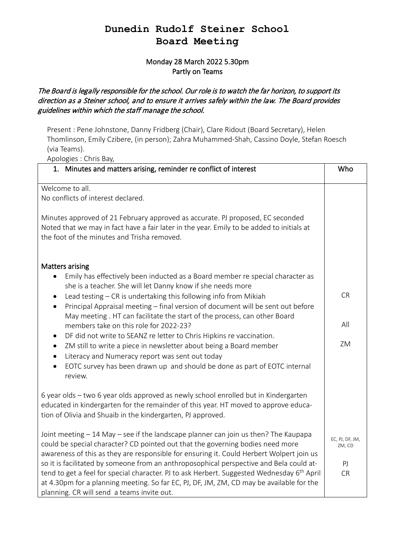### **Dunedin Rudolf Steiner School Board Meeting**

### Monday 28 March 2022 5.30pm Partly on Teams

### The Board is legally responsible for the school. Our role is to watch the far horizon, to support its direction as a Steiner school, and to ensure it arrives safely within the law. The Board provides guidelines within which the staff manage the school.

Present : Pene Johnstone, Danny Fridberg (Chair), Clare Ridout (Board Secretary), Helen Thomlinson, Emily Czibere, (in person); Zahra Muhammed-Shah, Cassino Doyle, Stefan Roesch (via Teams).

Apologies : Chris Bay,

| 1. Minutes and matters arising, reminder re conflict of interest                                                                                                                                                                                                                                                                            | Who                       |
|---------------------------------------------------------------------------------------------------------------------------------------------------------------------------------------------------------------------------------------------------------------------------------------------------------------------------------------------|---------------------------|
| Welcome to all.                                                                                                                                                                                                                                                                                                                             |                           |
| No conflicts of interest declared.                                                                                                                                                                                                                                                                                                          |                           |
| Minutes approved of 21 February approved as accurate. PJ proposed, EC seconded<br>Noted that we may in fact have a fair later in the year. Emily to be added to initials at<br>the foot of the minutes and Trisha removed.                                                                                                                  |                           |
| <b>Matters arising</b><br>Emily has effectively been inducted as a Board member re special character as<br>she is a teacher. She will let Danny know if she needs more                                                                                                                                                                      |                           |
| Lead testing - CR is undertaking this following info from Mikiah<br>$\bullet$<br>Principal Appraisal meeting - final version of document will be sent out before<br>$\bullet$                                                                                                                                                               | <b>CR</b>                 |
| May meeting. HT can facilitate the start of the process, can other Board<br>members take on this role for 2022-23?                                                                                                                                                                                                                          | All                       |
| DF did not write to SEANZ re letter to Chris Hipkins re vaccination.<br>$\bullet$<br>ZM still to write a piece in newsletter about being a Board member<br>$\bullet$<br>Literacy and Numeracy report was sent out today<br>$\bullet$                                                                                                        | ZM                        |
| EOTC survey has been drawn up and should be done as part of EOTC internal<br>$\bullet$<br>review.                                                                                                                                                                                                                                           |                           |
| 6 year olds - two 6 year olds approved as newly school enrolled but in Kindergarten<br>educated in kindergarten for the remainder of this year. HT moved to approve educa-<br>tion of Olivia and Shuaib in the kindergarten, PJ approved.                                                                                                   |                           |
| Joint meeting - 14 May - see if the landscape planner can join us then? The Kaupapa<br>could be special character? CD pointed out that the governing bodies need more<br>awareness of this as they are responsible for ensuring it. Could Herbert Wolpert join us                                                                           | EC, PJ, DF, JM,<br>ZM, CD |
| so it is facilitated by someone from an anthroposophical perspective and Bela could at-<br>tend to get a feel for special character. PJ to ask Herbert. Suggested Wednesday 6 <sup>th</sup> April<br>at 4.30pm for a planning meeting. So far EC, PJ, DF, JM, ZM, CD may be available for the<br>planning. CR will send a teams invite out. | PI<br><b>CR</b>           |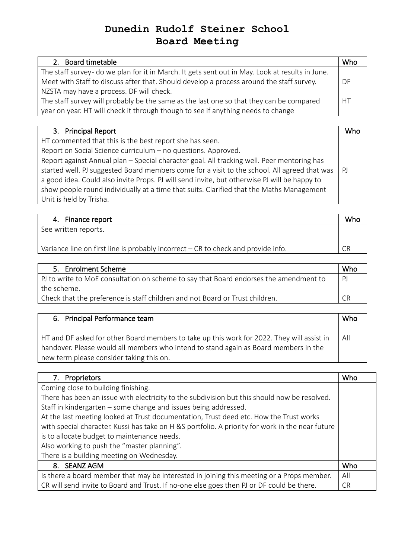# **Dunedin Rudolf Steiner School Board Meeting**

| 2. Board timetable                                                                              | Whc       |
|-------------------------------------------------------------------------------------------------|-----------|
| The staff survey- do we plan for it in March. It gets sent out in May. Look at results in June. |           |
| Meet with Staff to discuss after that. Should develop a process around the staff survey.        | DF        |
| NZSTA may have a process. DF will check.                                                        |           |
| The staff survey will probably be the same as the last one so that they can be compared         | <b>HT</b> |
| year on year. HT will check it through though to see if anything needs to change                |           |

| 3. Principal Report                                                                          | Who          |
|----------------------------------------------------------------------------------------------|--------------|
| HT commented that this is the best report she has seen.                                      |              |
| Report on Social Science curriculum - no questions. Approved.                                |              |
| Report against Annual plan - Special character goal. All tracking well. Peer mentoring has   |              |
| started well. PJ suggested Board members come for a visit to the school. All agreed that was | $\mathsf{P}$ |
| a good idea. Could also invite Props. PJ will send invite, but otherwise PJ will be happy to |              |
| show people round individually at a time that suits. Clarified that the Maths Management     |              |
| Unit is held by Trisha.                                                                      |              |

| 4. Finance report                                                                 | Who |
|-----------------------------------------------------------------------------------|-----|
| See written reports.                                                              |     |
| Variance line on first line is probably incorrect – CR to check and provide info. | CR  |

| 5. Enrolment Scheme                                                                   | Who       |
|---------------------------------------------------------------------------------------|-----------|
| PJ to write to MoE consultation on scheme to say that Board endorses the amendment to | PJ        |
| the scheme.                                                                           |           |
| Check that the preference is staff children and not Board or Trust children.          | <b>CR</b> |

| 6. Principal Performance team                                                              | Who |
|--------------------------------------------------------------------------------------------|-----|
| HT and DF asked for other Board members to take up this work for 2022. They will assist in | All |
| handover. Please would all members who intend to stand again as Board members in the       |     |
| new term please consider taking this on.                                                   |     |

| 7. Proprietors                                                                                   | Who       |
|--------------------------------------------------------------------------------------------------|-----------|
| Coming close to building finishing.                                                              |           |
| There has been an issue with electricity to the subdivision but this should now be resolved.     |           |
| Staff in kindergarten – some change and issues being addressed.                                  |           |
| At the last meeting looked at Trust documentation, Trust deed etc. How the Trust works           |           |
| with special character. Kussi has take on H &S portfolio. A priority for work in the near future |           |
| is to allocate budget to maintenance needs.                                                      |           |
| Also working to push the "master planning".                                                      |           |
| There is a building meeting on Wednesday.                                                        |           |
| 8. SEANZ AGM                                                                                     | Who       |
| Is there a board member that may be interested in joining this meeting or a Props member.        | All       |
| CR will send invite to Board and Trust. If no-one else goes then PJ or DF could be there.        | <b>CR</b> |